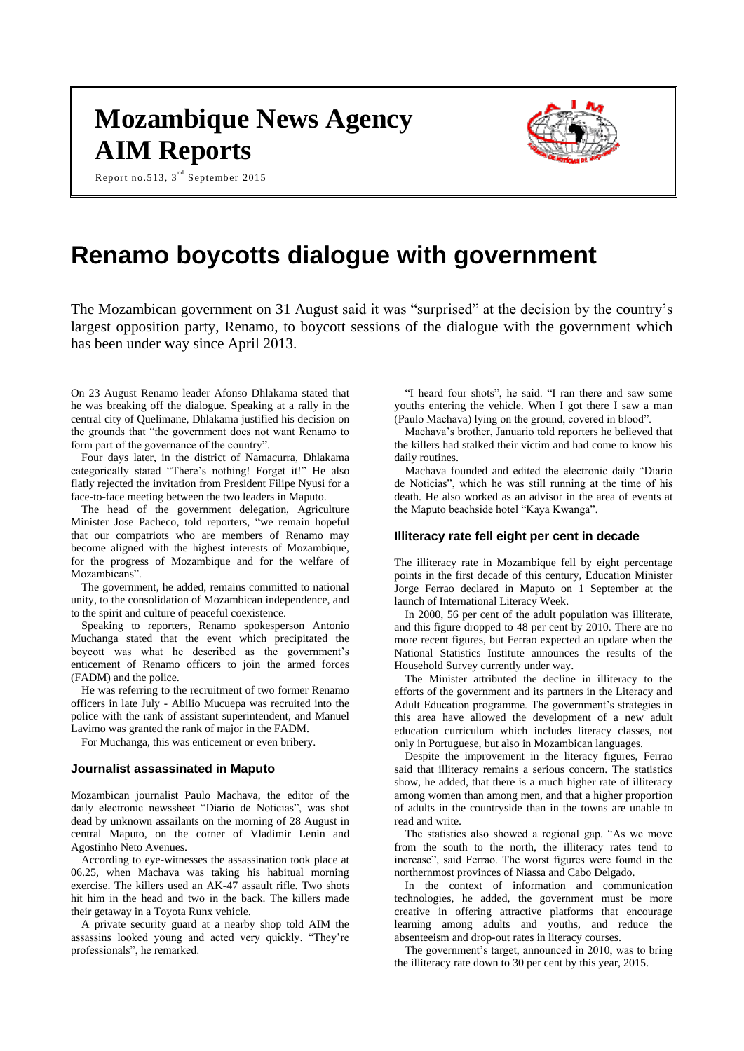# **Mozambique News Agency AIM Reports**

Report no.513,  $3^{\text{rd}}$  September 2015



# **Renamo boycotts dialogue with government**

The Mozambican government on 31 August said it was "surprised" at the decision by the country's largest opposition party, Renamo, to boycott sessions of the dialogue with the government which has been under way since April 2013.

On 23 August Renamo leader Afonso Dhlakama stated that he was breaking off the dialogue. Speaking at a rally in the central city of Quelimane, Dhlakama justified his decision on the grounds that "the government does not want Renamo to form part of the governance of the country".

Four days later, in the district of Namacurra, Dhlakama categorically stated "There's nothing! Forget it!" He also flatly rejected the invitation from President Filipe Nyusi for a face-to-face meeting between the two leaders in Maputo.

The head of the government delegation, Agriculture Minister Jose Pacheco, told reporters, "we remain hopeful that our compatriots who are members of Renamo may become aligned with the highest interests of Mozambique, for the progress of Mozambique and for the welfare of Mozambicans".

The government, he added, remains committed to national unity, to the consolidation of Mozambican independence, and to the spirit and culture of peaceful coexistence.

Speaking to reporters, Renamo spokesperson Antonio Muchanga stated that the event which precipitated the boycott was what he described as the government's enticement of Renamo officers to join the armed forces (FADM) and the police.

He was referring to the recruitment of two former Renamo officers in late July - Abilio Mucuepa was recruited into the police with the rank of assistant superintendent, and Manuel Lavimo was granted the rank of major in the FADM.

For Muchanga, this was enticement or even bribery.

#### **Journalist assassinated in Maputo**

Mozambican journalist Paulo Machava, the editor of the daily electronic newssheet "Diario de Noticias", was shot dead by unknown assailants on the morning of 28 August in central Maputo, on the corner of Vladimir Lenin and Agostinho Neto Avenues.

According to eye-witnesses the assassination took place at 06.25, when Machava was taking his habitual morning exercise. The killers used an AK-47 assault rifle. Two shots hit him in the head and two in the back. The killers made their getaway in a Toyota Runx vehicle.

A private security guard at a nearby shop told AIM the assassins looked young and acted very quickly. "They're professionals", he remarked.

"I heard four shots", he said. "I ran there and saw some youths entering the vehicle. When I got there I saw a man (Paulo Machava) lying on the ground, covered in blood".

Machava's brother, Januario told reporters he believed that the killers had stalked their victim and had come to know his daily routines.

Machava founded and edited the electronic daily "Diario de Noticias", which he was still running at the time of his death. He also worked as an advisor in the area of events at the Maputo beachside hotel "Kaya Kwanga".

#### **Illiteracy rate fell eight per cent in decade**

The illiteracy rate in Mozambique fell by eight percentage points in the first decade of this century, Education Minister Jorge Ferrao declared in Maputo on 1 September at the launch of International Literacy Week.

In 2000, 56 per cent of the adult population was illiterate, and this figure dropped to 48 per cent by 2010. There are no more recent figures, but Ferrao expected an update when the National Statistics Institute announces the results of the Household Survey currently under way.

The Minister attributed the decline in illiteracy to the efforts of the government and its partners in the Literacy and Adult Education programme. The government's strategies in this area have allowed the development of a new adult education curriculum which includes literacy classes, not only in Portuguese, but also in Mozambican languages.

Despite the improvement in the literacy figures, Ferrao said that illiteracy remains a serious concern. The statistics show, he added, that there is a much higher rate of illiteracy among women than among men, and that a higher proportion of adults in the countryside than in the towns are unable to read and write.

The statistics also showed a regional gap. "As we move from the south to the north, the illiteracy rates tend to increase", said Ferrao. The worst figures were found in the northernmost provinces of Niassa and Cabo Delgado.

In the context of information and communication technologies, he added, the government must be more creative in offering attractive platforms that encourage learning among adults and youths, and reduce the absenteeism and drop-out rates in literacy courses.

The government's target, announced in 2010, was to bring the illiteracy rate down to 30 per cent by this year, 2015.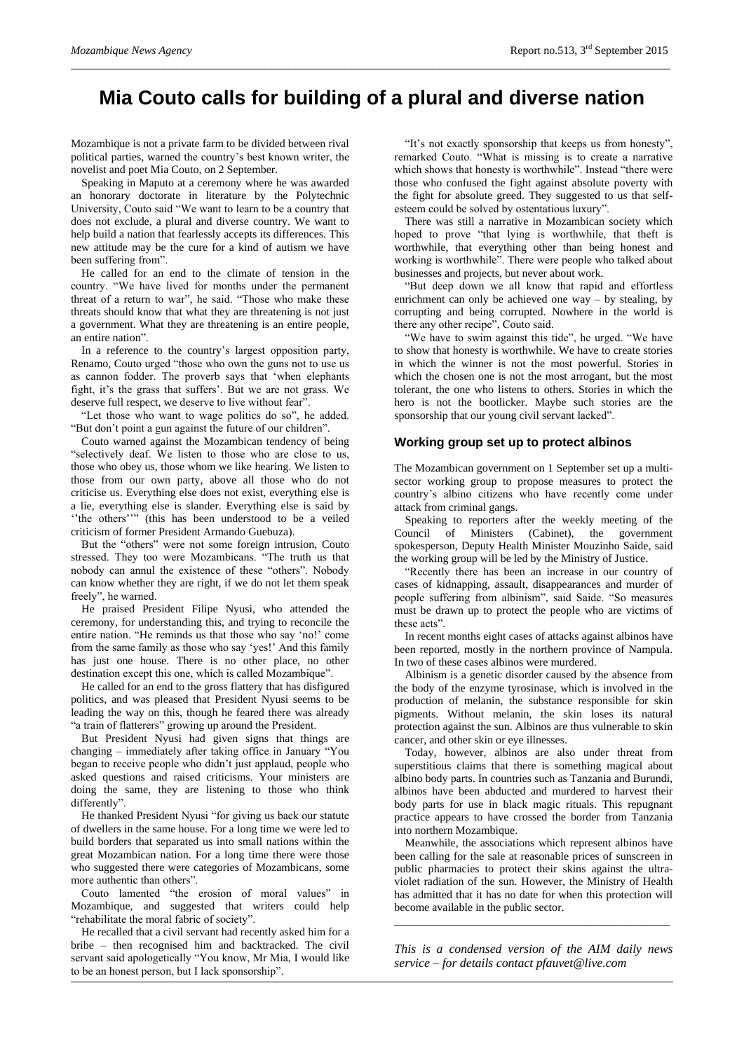# **Mia Couto calls for building of a plural and diverse nation**

*\_\_\_\_\_\_\_\_\_\_\_\_\_\_\_\_\_\_\_\_\_\_\_\_\_\_\_\_\_\_\_\_\_\_\_\_\_\_\_\_\_\_\_\_\_\_\_\_\_\_\_\_\_\_\_\_\_\_\_\_\_\_\_\_\_\_\_\_\_\_\_\_\_\_\_\_\_\_\_\_\_\_\_\_\_\_\_\_\_\_\_\_\_\_\_\_*

Mozambique is not a private farm to be divided between rival political parties, warned the country's best known writer, the novelist and poet Mia Couto, on 2 September.

Speaking in Maputo at a ceremony where he was awarded an honorary doctorate in literature by the Polytechnic University, Couto said "We want to learn to be a country that does not exclude, a plural and diverse country. We want to help build a nation that fearlessly accepts its differences. This new attitude may be the cure for a kind of autism we have been suffering from".

He called for an end to the climate of tension in the country. "We have lived for months under the permanent threat of a return to war", he said. "Those who make these threats should know that what they are threatening is not just a government. What they are threatening is an entire people, an entire nation".

In a reference to the country's largest opposition party, Renamo, Couto urged "those who own the guns not to use us as cannon fodder. The proverb says that 'when elephants fight, it's the grass that suffers'. But we are not grass. We deserve full respect, we deserve to live without fear".

"Let those who want to wage politics do so", he added. "But don't point a gun against the future of our children".

Couto warned against the Mozambican tendency of being "selectively deaf. We listen to those who are close to us, those who obey us, those whom we like hearing. We listen to those from our own party, above all those who do not criticise us. Everything else does not exist, everything else is a lie, everything else is slander. Everything else is said by ''the others''" (this has been understood to be a veiled criticism of former President Armando Guebuza).

But the "others" were not some foreign intrusion, Couto stressed. They too were Mozambicans. "The truth us that nobody can annul the existence of these "others". Nobody can know whether they are right, if we do not let them speak freely", he warned.

He praised President Filipe Nyusi, who attended the ceremony, for understanding this, and trying to reconcile the entire nation. "He reminds us that those who say 'no!' come from the same family as those who say 'yes!' And this family has just one house. There is no other place, no other destination except this one, which is called Mozambique".

He called for an end to the gross flattery that has disfigured politics, and was pleased that President Nyusi seems to be leading the way on this, though he feared there was already "a train of flatterers" growing up around the President.

But President Nyusi had given signs that things are changing – immediately after taking office in January "You began to receive people who didn't just applaud, people who asked questions and raised criticisms. Your ministers are doing the same, they are listening to those who think differently".

He thanked President Nyusi "for giving us back our statute of dwellers in the same house. For a long time we were led to build borders that separated us into small nations within the great Mozambican nation. For a long time there were those who suggested there were categories of Mozambicans, some more authentic than others".

Couto lamented "the erosion of moral values" in Mozambique, and suggested that writers could help "rehabilitate the moral fabric of society".

He recalled that a civil servant had recently asked him for a bribe – then recognised him and backtracked. The civil servant said apologetically "You know, Mr Mia, I would like to be an honest person, but I lack sponsorship".

"It's not exactly sponsorship that keeps us from honesty", remarked Couto. "What is missing is to create a narrative which shows that honesty is worthwhile". Instead "there were those who confused the fight against absolute poverty with the fight for absolute greed. They suggested to us that selfesteem could be solved by ostentatious luxury".

There was still a narrative in Mozambican society which hoped to prove "that lying is worthwhile, that theft is worthwhile, that everything other than being honest and working is worthwhile". There were people who talked about businesses and projects, but never about work.

"But deep down we all know that rapid and effortless enrichment can only be achieved one way – by stealing, by corrupting and being corrupted. Nowhere in the world is there any other recipe", Couto said.

"We have to swim against this tide", he urged. "We have to show that honesty is worthwhile. We have to create stories in which the winner is not the most powerful. Stories in which the chosen one is not the most arrogant, but the most tolerant, the one who listens to others. Stories in which the hero is not the bootlicker. Maybe such stories are the sponsorship that our young civil servant lacked".

#### **Working group set up to protect albinos**

The Mozambican government on 1 September set up a multisector working group to propose measures to protect the country's albino citizens who have recently come under attack from criminal gangs.

Speaking to reporters after the weekly meeting of the Council of Ministers (Cabinet), the government spokesperson, Deputy Health Minister Mouzinho Saide, said the working group will be led by the Ministry of Justice.

"Recently there has been an increase in our country of cases of kidnapping, assault, disappearances and murder of people suffering from albinism", said Saide. "So measures must be drawn up to protect the people who are victims of these acts".

In recent months eight cases of attacks against albinos have been reported, mostly in the northern province of Nampula. In two of these cases albinos were murdered.

Albinism is a genetic disorder caused by the absence from the body of the enzyme tyrosinase, which is involved in the production of melanin, the substance responsible for skin pigments. Without melanin, the skin loses its natural protection against the sun. Albinos are thus vulnerable to skin cancer, and other skin or eye illnesses.

Today, however, albinos are also under threat from superstitious claims that there is something magical about albino body parts. In countries such as Tanzania and Burundi, albinos have been abducted and murdered to harvest their body parts for use in black magic rituals. This repugnant practice appears to have crossed the border from Tanzania into northern Mozambique.

Meanwhile, the associations which represent albinos have been calling for the sale at reasonable prices of sunscreen in public pharmacies to protect their skins against the ultraviolet radiation of the sun. However, the Ministry of Health has admitted that it has no date for when this protection will become available in the public sector.

*This is a condensed version of the AIM daily news service – for details contact [pfauvet@live.com](mailto:pfauvet@live.com)*

\_\_\_\_\_\_\_\_\_\_\_\_\_\_\_\_\_\_\_\_\_\_\_\_\_\_\_\_\_\_\_\_\_\_\_\_\_\_\_\_\_\_\_\_\_\_\_\_\_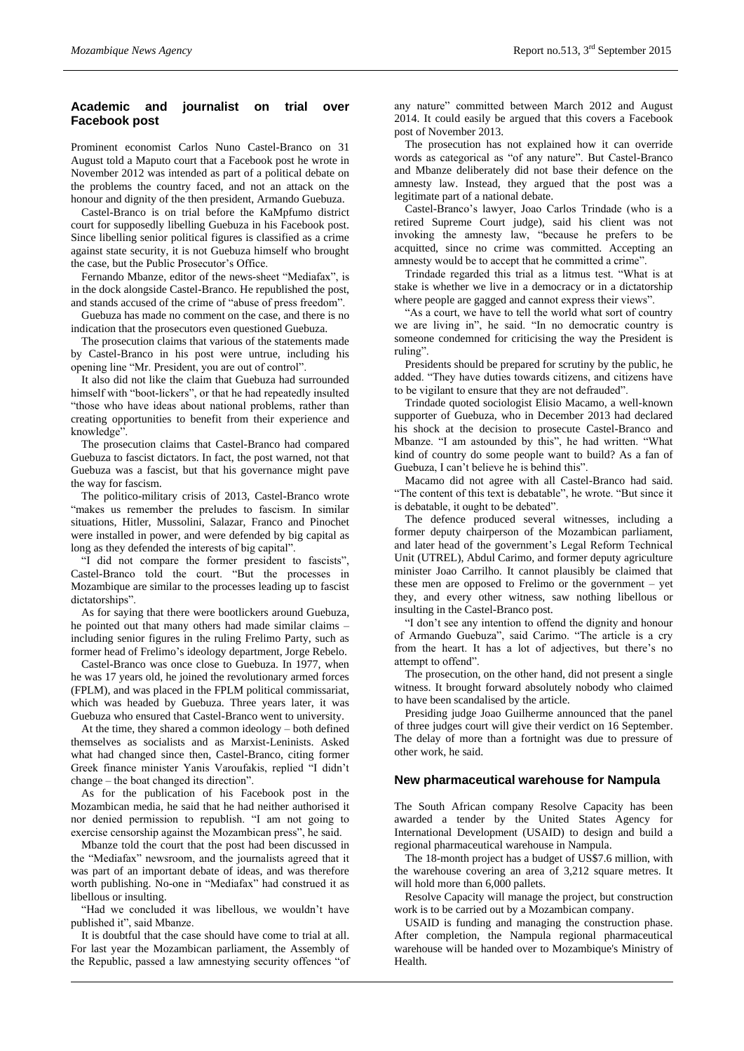## **Academic and journalist on trial over Facebook post**

Prominent economist Carlos Nuno Castel-Branco on 31 August told a Maputo court that a Facebook post he wrote in November 2012 was intended as part of a political debate on the problems the country faced, and not an attack on the honour and dignity of the then president, Armando Guebuza.

Castel-Branco is on trial before the KaMpfumo district court for supposedly libelling Guebuza in his Facebook post. Since libelling senior political figures is classified as a crime against state security, it is not Guebuza himself who brought the case, but the Public Prosecutor's Office.

Fernando Mbanze, editor of the news-sheet "Mediafax", is in the dock alongside Castel-Branco. He republished the post, and stands accused of the crime of "abuse of press freedom".

Guebuza has made no comment on the case, and there is no indication that the prosecutors even questioned Guebuza.

The prosecution claims that various of the statements made by Castel-Branco in his post were untrue, including his opening line "Mr. President, you are out of control".

It also did not like the claim that Guebuza had surrounded himself with "boot-lickers", or that he had repeatedly insulted "those who have ideas about national problems, rather than creating opportunities to benefit from their experience and knowledge".

The prosecution claims that Castel-Branco had compared Guebuza to fascist dictators. In fact, the post warned, not that Guebuza was a fascist, but that his governance might pave the way for fascism.

The politico-military crisis of 2013, Castel-Branco wrote "makes us remember the preludes to fascism. In similar situations, Hitler, Mussolini, Salazar, Franco and Pinochet were installed in power, and were defended by big capital as long as they defended the interests of big capital".

"I did not compare the former president to fascists", Castel-Branco told the court. "But the processes in Mozambique are similar to the processes leading up to fascist dictatorships".

As for saying that there were bootlickers around Guebuza, he pointed out that many others had made similar claims – including senior figures in the ruling Frelimo Party, such as former head of Frelimo's ideology department, Jorge Rebelo.

Castel-Branco was once close to Guebuza. In 1977, when he was 17 years old, he joined the revolutionary armed forces (FPLM), and was placed in the FPLM political commissariat, which was headed by Guebuza. Three years later, it was Guebuza who ensured that Castel-Branco went to university.

At the time, they shared a common ideology – both defined themselves as socialists and as Marxist-Leninists. Asked what had changed since then, Castel-Branco, citing former Greek finance minister Yanis Varoufakis, replied "I didn't change – the boat changed its direction".

As for the publication of his Facebook post in the Mozambican media, he said that he had neither authorised it nor denied permission to republish. "I am not going to exercise censorship against the Mozambican press", he said.

Mbanze told the court that the post had been discussed in the "Mediafax" newsroom, and the journalists agreed that it was part of an important debate of ideas, and was therefore worth publishing. No-one in "Mediafax" had construed it as libellous or insulting.

"Had we concluded it was libellous, we wouldn't have published it", said Mbanze.

It is doubtful that the case should have come to trial at all. For last year the Mozambican parliament, the Assembly of the Republic, passed a law amnestying security offences "of any nature" committed between March 2012 and August 2014. It could easily be argued that this covers a Facebook post of November 2013.

The prosecution has not explained how it can override words as categorical as "of any nature". But Castel-Branco and Mbanze deliberately did not base their defence on the amnesty law. Instead, they argued that the post was a legitimate part of a national debate.

Castel-Branco's lawyer, Joao Carlos Trindade (who is a retired Supreme Court judge), said his client was not invoking the amnesty law, "because he prefers to be acquitted, since no crime was committed. Accepting an amnesty would be to accept that he committed a crime".

Trindade regarded this trial as a litmus test. "What is at stake is whether we live in a democracy or in a dictatorship where people are gagged and cannot express their views".

"As a court, we have to tell the world what sort of country we are living in", he said. "In no democratic country is someone condemned for criticising the way the President is ruling".

Presidents should be prepared for scrutiny by the public, he added. "They have duties towards citizens, and citizens have to be vigilant to ensure that they are not defrauded".

Trindade quoted sociologist Elisio Macamo, a well-known supporter of Guebuza, who in December 2013 had declared his shock at the decision to prosecute Castel-Branco and Mbanze. "I am astounded by this", he had written. "What kind of country do some people want to build? As a fan of Guebuza, I can't believe he is behind this".

Macamo did not agree with all Castel-Branco had said. "The content of this text is debatable", he wrote. "But since it is debatable, it ought to be debated".

The defence produced several witnesses, including a former deputy chairperson of the Mozambican parliament, and later head of the government's Legal Reform Technical Unit (UTREL), Abdul Carimo, and former deputy agriculture minister Joao Carrilho. It cannot plausibly be claimed that these men are opposed to Frelimo or the government – yet they, and every other witness, saw nothing libellous or insulting in the Castel-Branco post.

"I don't see any intention to offend the dignity and honour of Armando Guebuza", said Carimo. "The article is a cry from the heart. It has a lot of adjectives, but there's no attempt to offend".

The prosecution, on the other hand, did not present a single witness. It brought forward absolutely nobody who claimed to have been scandalised by the article.

Presiding judge Joao Guilherme announced that the panel of three judges court will give their verdict on 16 September. The delay of more than a fortnight was due to pressure of other work, he said.

#### **New pharmaceutical warehouse for Nampula**

The South African company Resolve Capacity has been awarded a tender by the United States Agency for International Development (USAID) to design and build a regional pharmaceutical warehouse in Nampula.

The 18-month project has a budget of US\$7.6 million, with the warehouse covering an area of 3,212 square metres. It will hold more than 6,000 pallets.

Resolve Capacity will manage the project, but construction work is to be carried out by a Mozambican company.

USAID is funding and managing the construction phase. After completion, the Nampula regional pharmaceutical warehouse will be handed over to Mozambique's Ministry of Health.